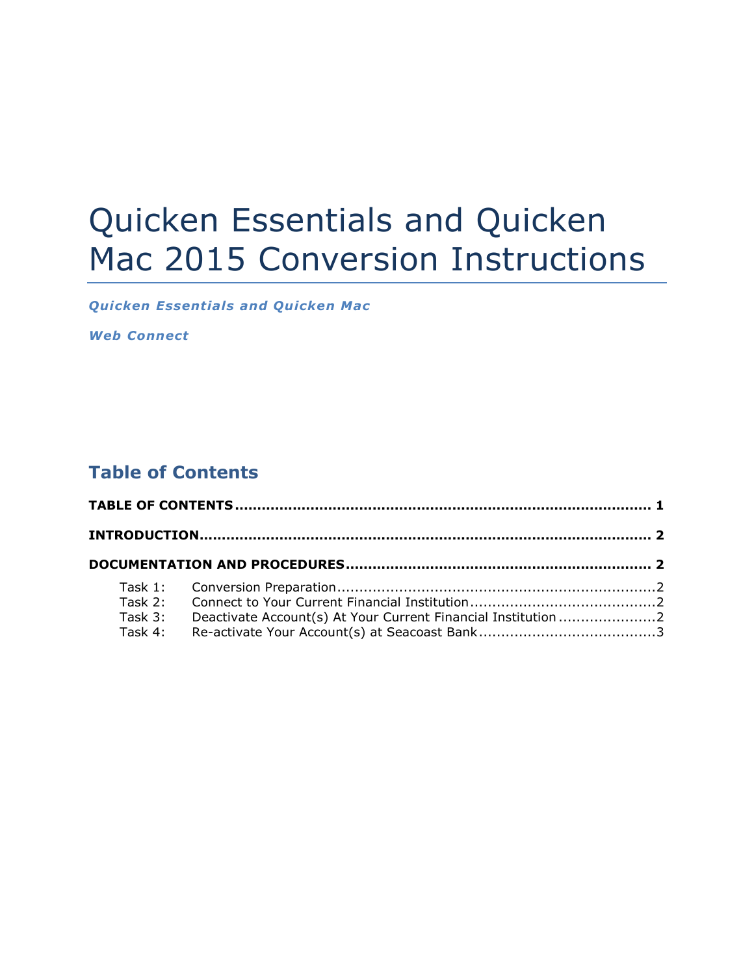# Quicken Essentials and Quicken Mac 2015 Conversion Instructions

*Quicken Essentials and Quicken Mac*

*Web Connect*

## **Table of Contents**

| Task 3: | Deactivate Account(s) At Your Current Financial Institution 2 |  |  |
|---------|---------------------------------------------------------------|--|--|
|         |                                                               |  |  |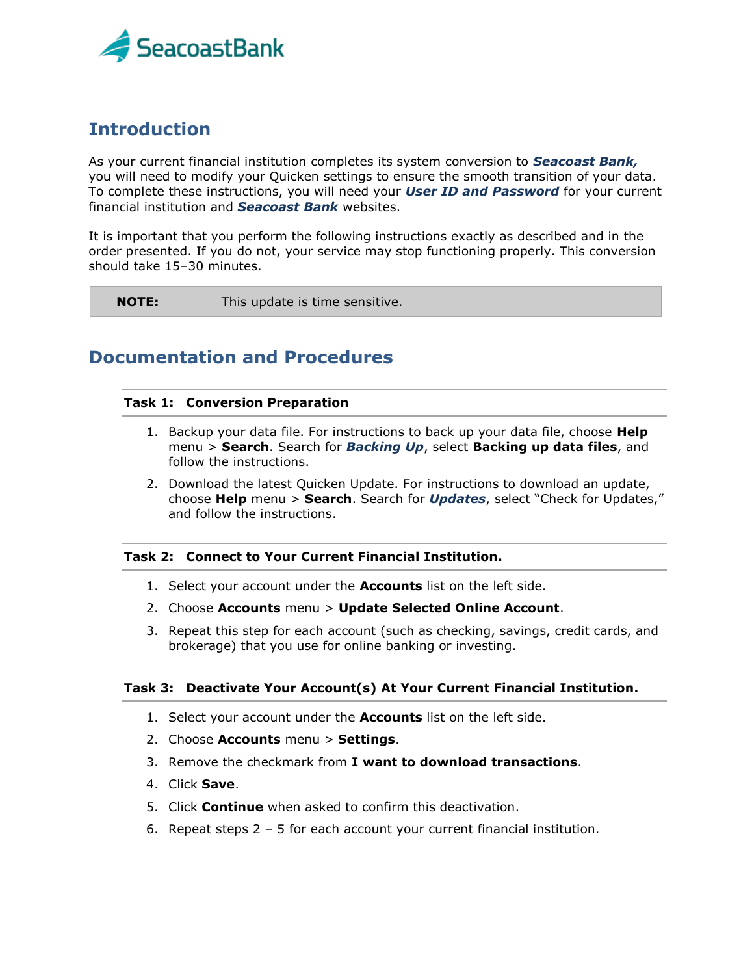

## **Introduction**

As your current financial institution completes its system conversion to *Seacoast Bank,* you will need to modify your Quicken settings to ensure the smooth transition of your data. To complete these instructions, you will need your *User ID and Password* for your current financial institution and *Seacoast Bank* websites.

It is important that you perform the following instructions exactly as described and in the order presented. If you do not, your service may stop functioning properly. This conversion should take 15–30 minutes.

**NOTE:** This update is time sensitive.

### **Documentation and Procedures**

#### **Task 1: Conversion Preparation**

- 1. Backup your data file. For instructions to back up your data file, choose **Help** menu > **Search**. Search for *Backing Up*, select **Backing up data files**, and follow the instructions.
- 2. Download the latest Quicken Update. For instructions to download an update, choose **Help** menu > **Search**. Search for *Updates*, select "Check for Updates," and follow the instructions.

#### **Task 2: Connect to Your Current Financial Institution.**

- 1. Select your account under the **Accounts** list on the left side.
- 2. Choose **Accounts** menu > **Update Selected Online Account**.
- 3. Repeat this step for each account (such as checking, savings, credit cards, and brokerage) that you use for online banking or investing.

#### **Task 3: Deactivate Your Account(s) At Your Current Financial Institution.**

- 1. Select your account under the **Accounts** list on the left side.
- 2. Choose **Accounts** menu > **Settings**.
- 3. Remove the checkmark from **I want to download transactions**.
- 4. Click **Save**.
- 5. Click **Continue** when asked to confirm this deactivation.
- 6. Repeat steps 2 5 for each account your current financial institution.